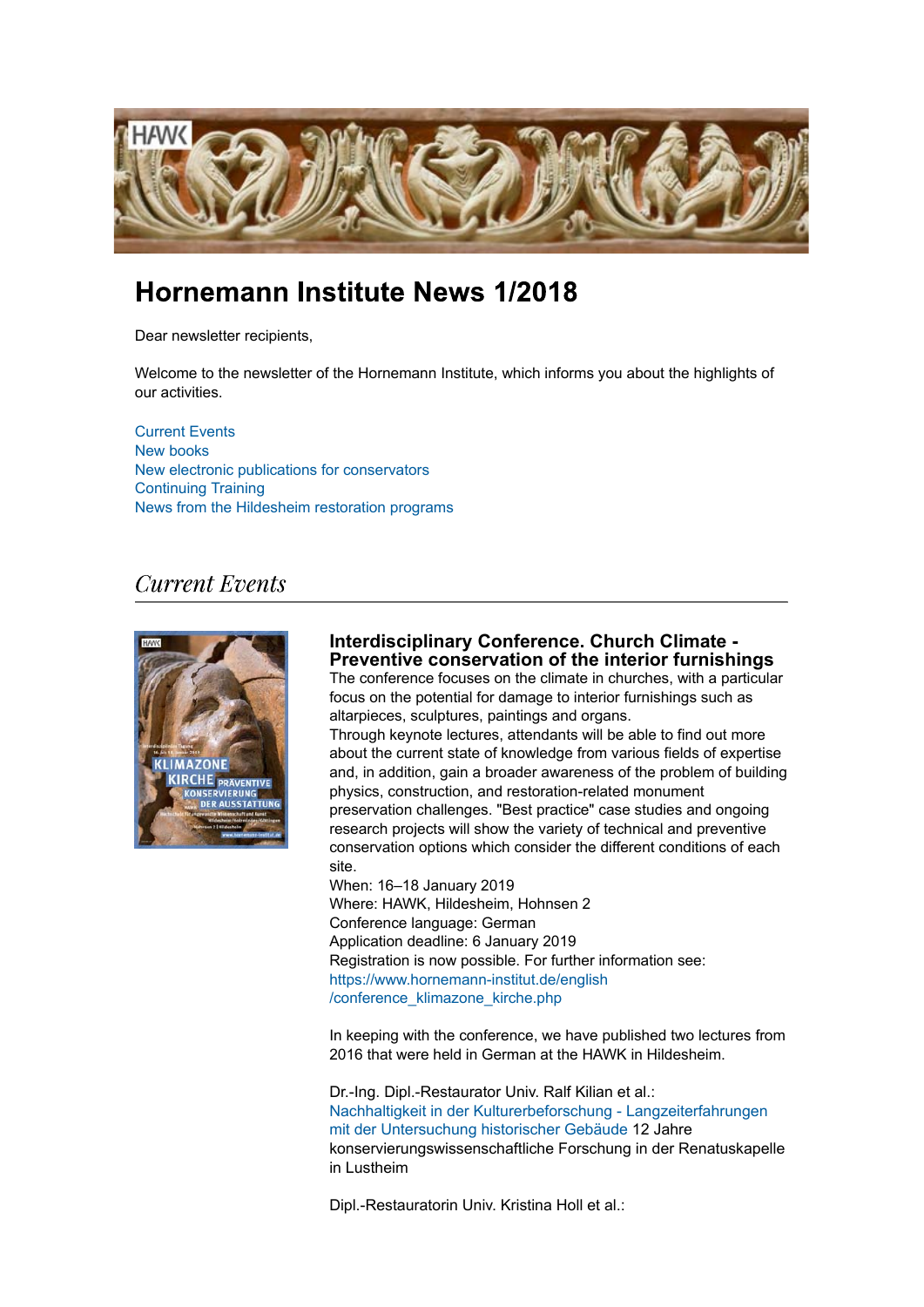

# **Hornemann Institute News 1/2018**

Dear newsletter recipients,

Welcome to the newsletter of the Hornemann Institute, which informs you about the highlights of our activities.

Current Events New books New electronic publications for conservators Continuing Training News from the Hildesheim restoration programs

# **Current Events**



## **Interdisciplinary Conference. Church Climate - Preventive conservation of the interior furnishings**

The conference focuses on the climate in churches, with a particular focus on the potential for damage to interior furnishings such as altarpieces, sculptures, paintings and organs.

Through keynote lectures, attendants will be able to find out more about the current state of knowledge from various fields of expertise and, in addition, gain a broader awareness of the problem of building physics, construction, and restoration-related monument preservation challenges. "Best practice" case studies and ongoing research projects will show the variety of technical and preventive conservation options which consider the different conditions of each site.

When: 16–18 January 2019 Where: HAWK, Hildesheim, Hohnsen 2 Conference language: German Application deadline: 6 January 2019 Registration is now possible. For further information see: https://www.hornemann-institut.de/english /conference\_klimazone\_kirche.php

In keeping with the conference, we have published two lectures from 2016 that were held in German at the HAWK in Hildesheim.

Dr.-Ing. Dipl.-Restaurator Univ. Ralf Kilian et al.: Nachhaltigkeit in der Kulturerbeforschung - Langzeiterfahrungen mit der Untersuchung historischer Gebäude 12 Jahre konservierungswissenschaftliche Forschung in der Renatuskapelle in Lustheim

Dipl.-Restauratorin Univ. Kristina Holl et al.: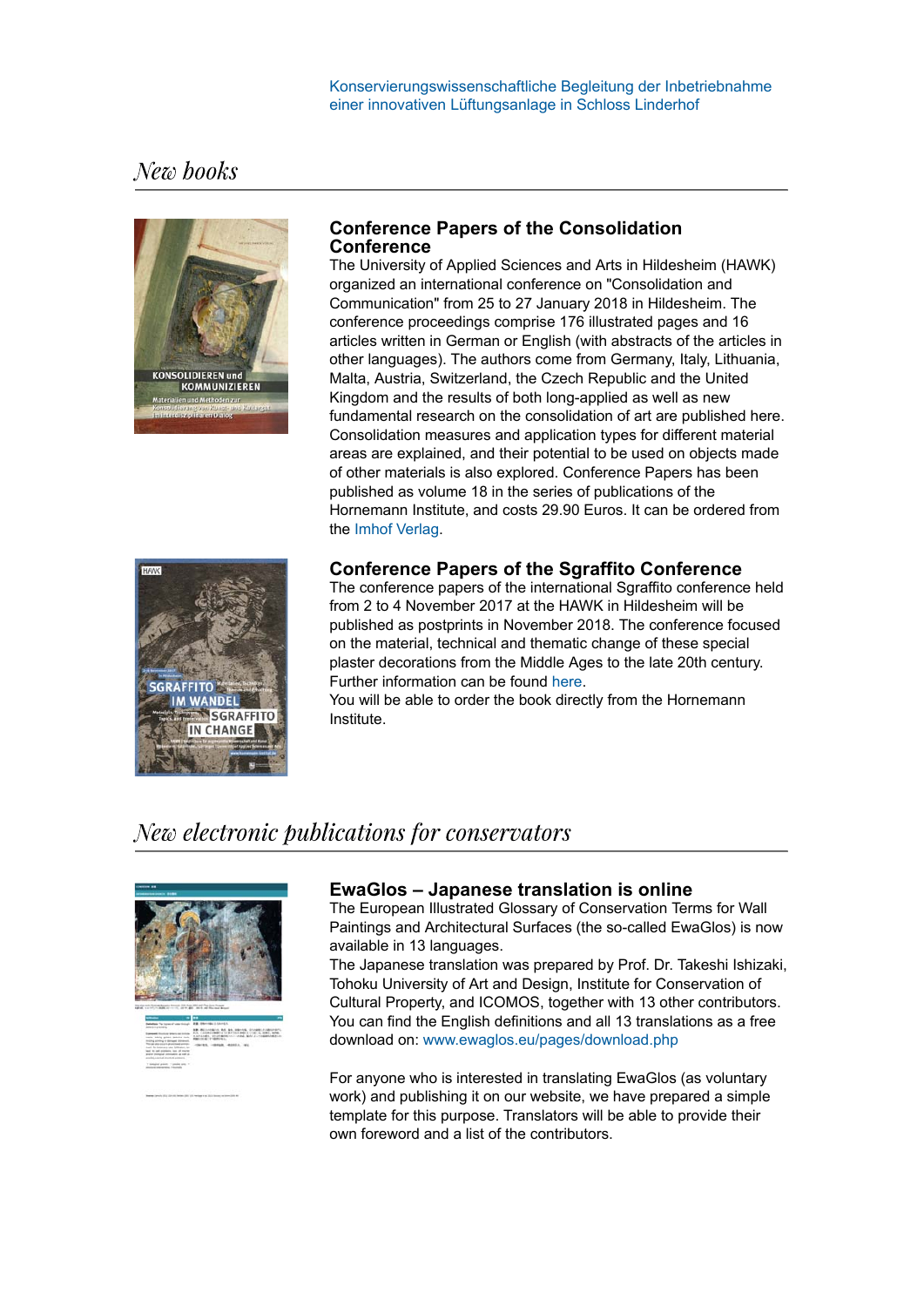# New books



## **Conference Papers of the Consolidation Conference**

The University of Applied Sciences and Arts in Hildesheim (HAWK) organized an international conference on "Consolidation and Communication" from 25 to 27 January 2018 in Hildesheim. The conference proceedings comprise 176 illustrated pages and 16 articles written in German or English (with abstracts of the articles in other languages). The authors come from Germany, Italy, Lithuania, Malta, Austria, Switzerland, the Czech Republic and the United Kingdom and the results of both long-applied as well as new fundamental research on the consolidation of art are published here. Consolidation measures and application types for different material areas are explained, and their potential to be used on objects made of other materials is also explored. Conference Papers has been published as volume 18 in the series of publications of the Hornemann Institute, and costs 29.90 Euros. It can be ordered from the Imhof Verlag.





The conference papers of the international Sgraffito conference held from 2 to 4 November 2017 at the HAWK in Hildesheim will be published as postprints in November 2018. The conference focused on the material, technical and thematic change of these special plaster decorations from the Middle Ages to the late 20th century. Further information can be found here.

You will be able to order the book directly from the Hornemann Institute.

# New electronic publications for conservators



## **EwaGlos – Japanese translation is online**

The European Illustrated Glossary of Conservation Terms for Wall Paintings and Architectural Surfaces (the so-called EwaGlos) is now available in 13 languages.

The Japanese translation was prepared by Prof. Dr. Takeshi Ishizaki, Tohoku University of Art and Design, Institute for Conservation of Cultural Property, and ICOMOS, together with 13 other contributors. You can find the English definitions and all 13 translations as a free download on: www.ewaglos.eu/pages/download.php

For anyone who is interested in translating EwaGlos (as voluntary work) and publishing it on our website, we have prepared a simple template for this purpose. Translators will be able to provide their own foreword and a list of the contributors.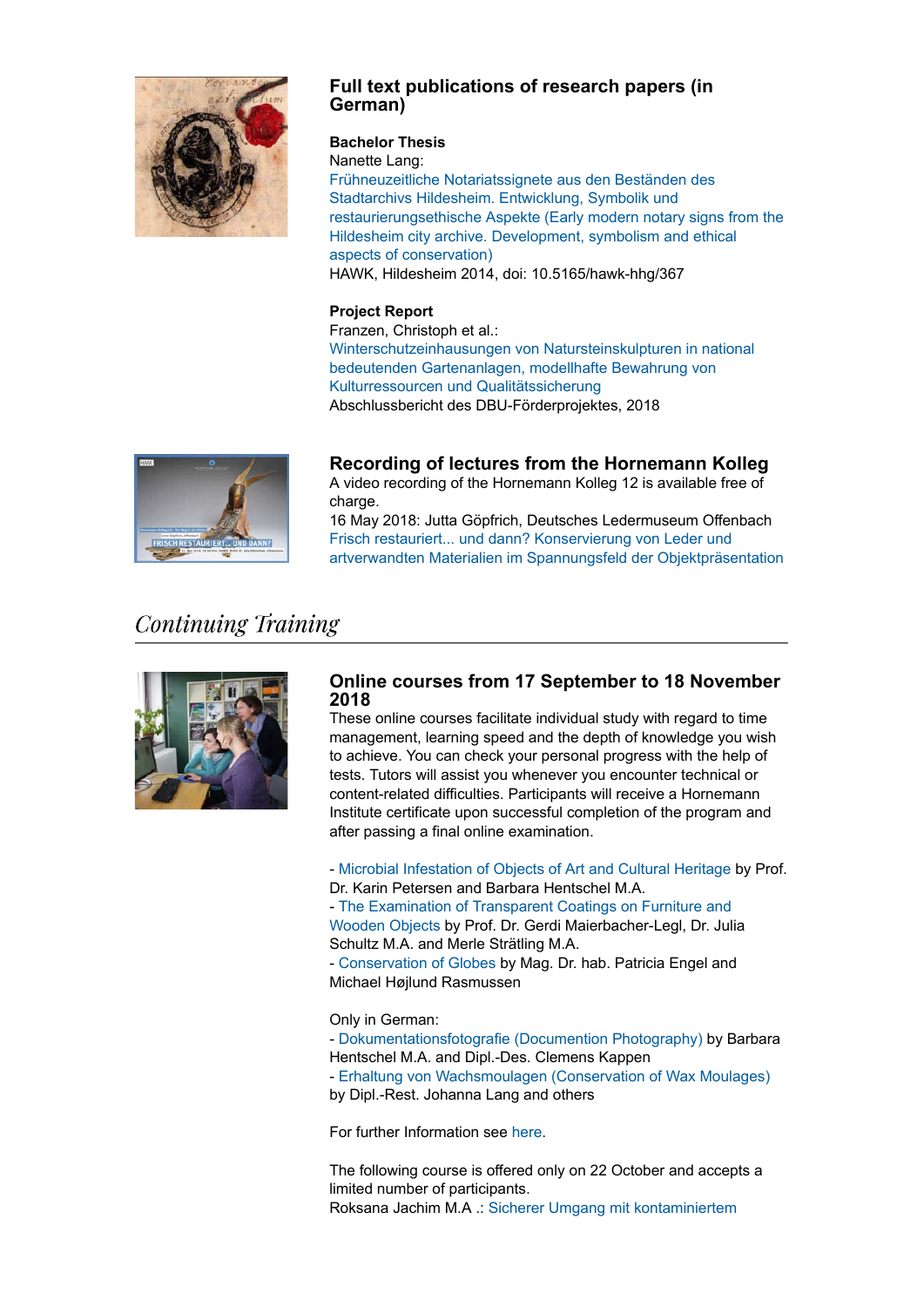

## **Full text publications of research papers (in German)**

### **Bachelor Thesis**

Nanette Lang: Frühneuzeitliche Notariatssignete aus den Beständen des Stadtarchivs Hildesheim. Entwicklung, Symbolik und restaurierungsethische Aspekte (Early modern notary signs from the Hildesheim city archive. Development, symbolism and ethical aspects of conservation) HAWK, Hildesheim 2014, doi: 10.5165/hawk-hhg/367

### **Project Report**

Franzen, Christoph et al.: Winterschutzeinhausungen von Natursteinskulpturen in national bedeutenden Gartenanlagen, modellhafte Bewahrung von Kulturressourcen und Qualitätssicherung Abschlussbericht des DBU-Förderprojektes, 2018



**Recording of lectures from the Hornemann Kolleg**

A video recording of the Hornemann Kolleg 12 is available free of charge.

16 May 2018: Jutta Göpfrich, Deutsches Ledermuseum Offenbach Frisch restauriert... und dann? Konservierung von Leder und artverwandten Materialien im Spannungsfeld der Objektpräsentation

# **Continuing Training**



### **Online courses from 17 September to 18 November 2018**

These online courses facilitate individual study with regard to time management, learning speed and the depth of knowledge you wish to achieve. You can check your personal progress with the help of tests. Tutors will assist you whenever you encounter technical or content-related difficulties. Participants will receive a Hornemann Institute certificate upon successful completion of the program and after passing a final online examination.

- Microbial Infestation of Objects of Art and Cultural Heritage by Prof. Dr. Karin Petersen and Barbara Hentschel M.A.

- The Examination of Transparent Coatings on Furniture and Wooden Objects by Prof. Dr. Gerdi Maierbacher-Legl, Dr. Julia Schultz M.A. and Merle Strätling M.A.

- Conservation of Globes by Mag. Dr. hab. Patricia Engel and Michael Højlund Rasmussen

#### Only in German:

- Dokumentationsfotografie (Documention Photography) by Barbara Hentschel M.A. and Dipl.-Des. Clemens Kappen - Erhaltung von Wachsmoulagen (Conservation of Wax Moulages) by Dipl.-Rest. Johanna Lang and others

For further Information see here.

The following course is offered only on 22 October and accepts a limited number of participants. Roksana Jachim M.A .: Sicherer Umgang mit kontaminiertem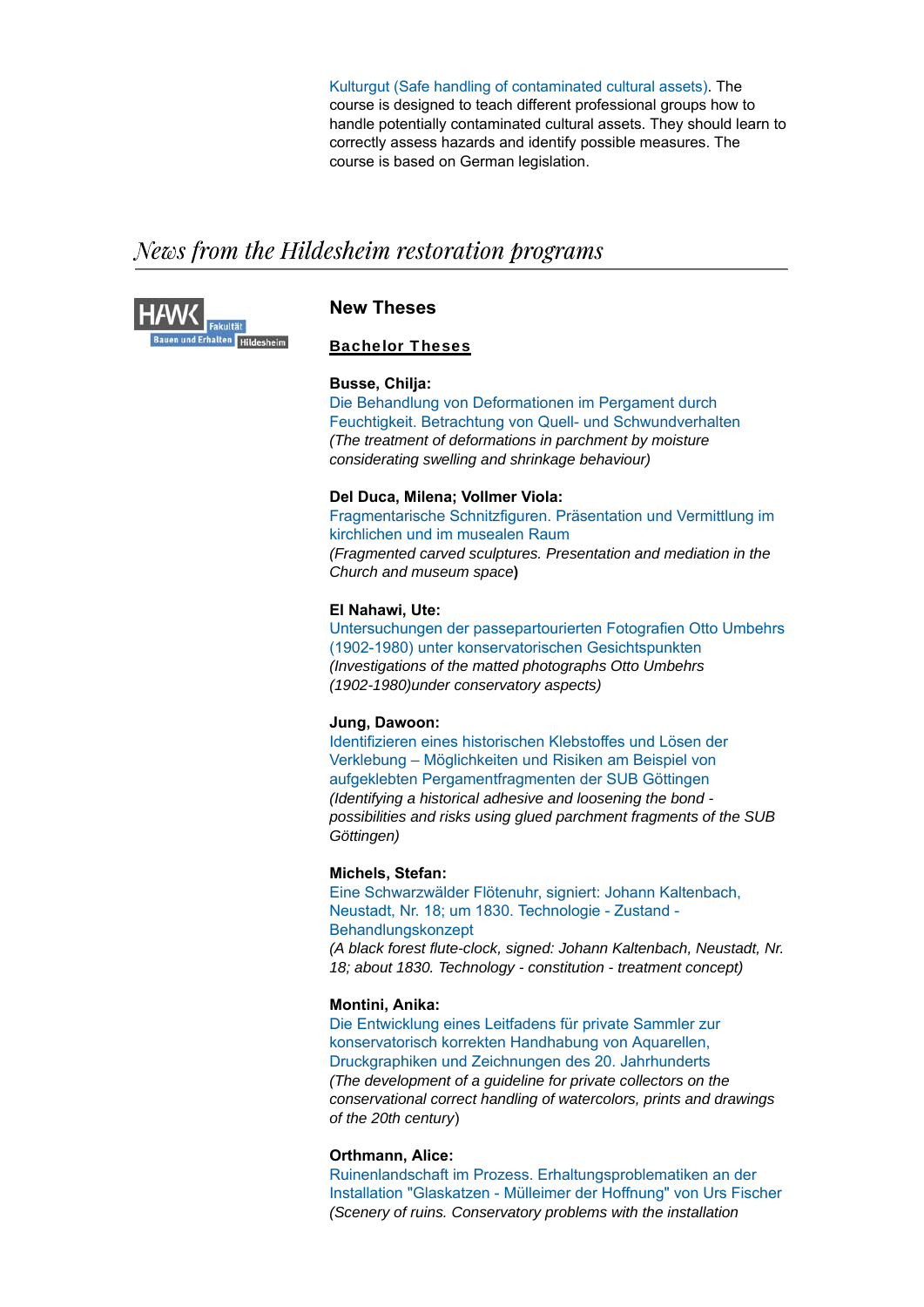Kulturgut (Safe handling of contaminated cultural assets). The course is designed to teach different professional groups how to handle potentially contaminated cultural assets. They should learn to correctly assess hazards and identify possible measures. The course is based on German legislation.

# News from the Hildesheim restoration programs



### **New Theses**

### Bachelor Theses

#### **Busse, Chilja:**

Die Behandlung von Deformationen im Pergament durch Feuchtigkeit. Betrachtung von Quell- und Schwundverhalten *(The treatment of deformations in parchment by moisture considerating swelling and shrinkage behaviour)*

#### **Del Duca, Milena; Vollmer Viola:**

Fragmentarische Schnitzfiguren. Präsentation und Vermittlung im kirchlichen und im musealen Raum *(Fragmented carved sculptures. Presentation and mediation in the Church and museum space***)**

#### **El Nahawi, Ute:**

Untersuchungen der passepartourierten Fotografien Otto Umbehrs (1902-1980) unter konservatorischen Gesichtspunkten *(Investigations of the matted photographs Otto Umbehrs (1902-1980)under conservatory aspects)*

#### **Jung, Dawoon:**

Identifizieren eines historischen Klebstoffes und Lösen der Verklebung – Möglichkeiten und Risiken am Beispiel von aufgeklebten Pergamentfragmenten der SUB Göttingen *(Identifying a historical adhesive and loosening the bond possibilities and risks using glued parchment fragments of the SUB Göttingen)*

#### **Michels, Stefan:**

Eine Schwarzwälder Flötenuhr, signiert: Johann Kaltenbach, Neustadt, Nr. 18; um 1830. Technologie - Zustand - Behandlungskonzept *(A black forest flute-clock, signed: Johann Kaltenbach, Neustadt, Nr. 18; about 1830. Technology - constitution - treatment concept)*

#### **Montini, Anika:**

Die Entwicklung eines Leitfadens für private Sammler zur konservatorisch korrekten Handhabung von Aquarellen, Druckgraphiken und Zeichnungen des 20. Jahrhunderts *(The development of a guideline for private collectors on the conservational correct handling of watercolors, prints and drawings of the 20th century*)

#### **Orthmann, Alice:**

Ruinenlandschaft im Prozess. Erhaltungsproblematiken an der Installation "Glaskatzen - Mülleimer der Hoffnung" von Urs Fischer *(Scenery of ruins. Conservatory problems with the installation*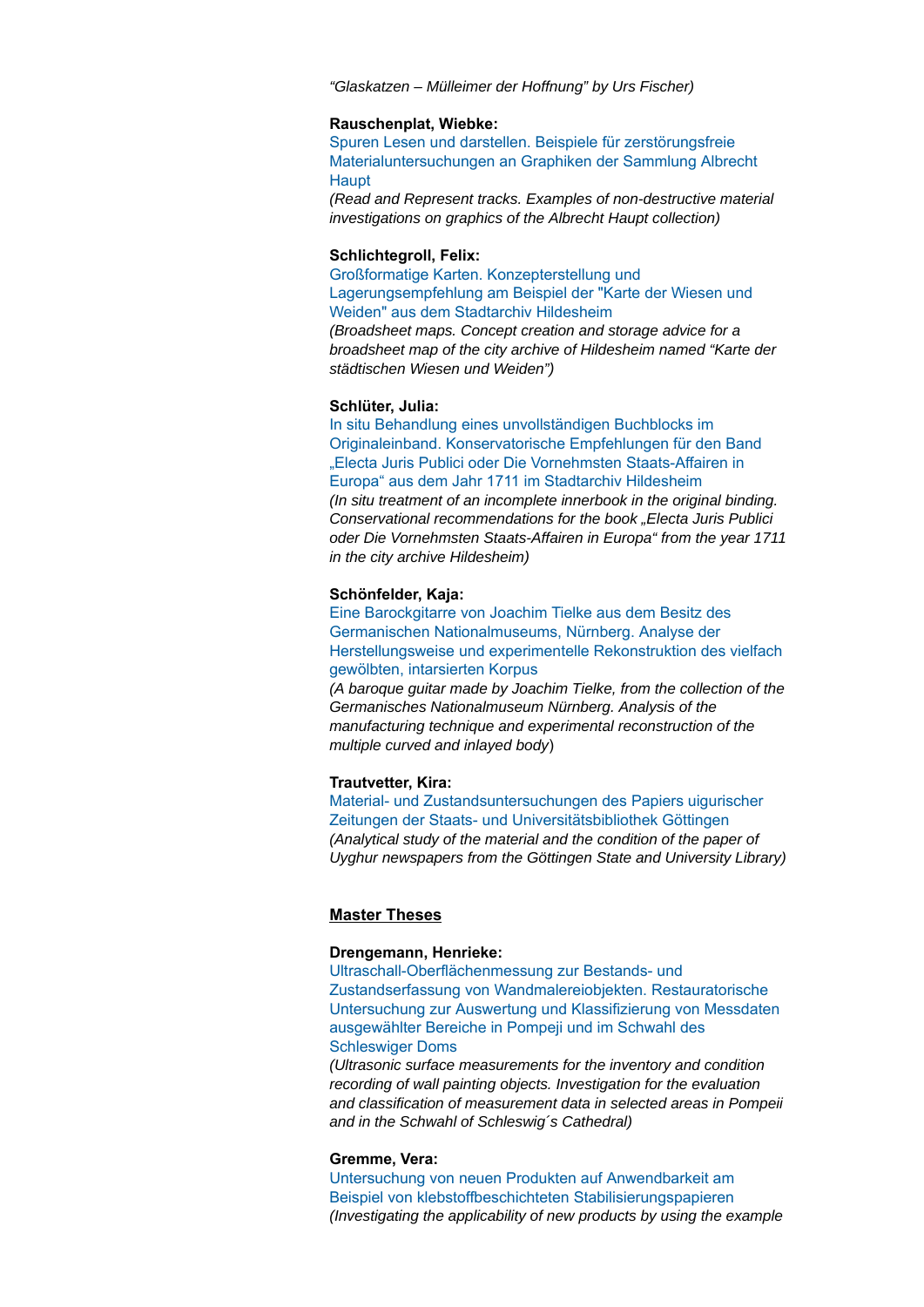*"Glaskatzen – Mülleimer der Hoffnung" by Urs Fischer)*

#### **Rauschenplat, Wiebke:**

Spuren Lesen und darstellen. Beispiele für zerstörungsfreie Materialuntersuchungen an Graphiken der Sammlung Albrecht **Haupt** 

*(Read and Represent tracks. Examples of non-destructive material investigations on graphics of the Albrecht Haupt collection)*

#### **Schlichtegroll, Felix:**

Großformatige Karten. Konzepterstellung und Lagerungsempfehlung am Beispiel der "Karte der Wiesen und Weiden" aus dem Stadtarchiv Hildesheim

*(Broadsheet maps. Concept creation and storage advice for a broadsheet map of the city archive of Hildesheim named "Karte der städtischen Wiesen und Weiden")*

#### **Schlüter, Julia:**

In situ Behandlung eines unvollständigen Buchblocks im Originaleinband. Konservatorische Empfehlungen für den Band "Electa Juris Publici oder Die Vornehmsten Staats-Affairen in Europa" aus dem Jahr 1711 im Stadtarchiv Hildesheim *(In situ treatment of an incomplete innerbook in the original binding. Conservational recommendations for the book "Electa Juris Publici oder Die Vornehmsten Staats-Affairen in Europa" from the year 1711 in the city archive Hildesheim)*

#### **Schönfelder, Kaja:**

Eine Barockgitarre von Joachim Tielke aus dem Besitz des Germanischen Nationalmuseums, Nürnberg. Analyse der Herstellungsweise und experimentelle Rekonstruktion des vielfach gewölbten, intarsierten Korpus

*(A baroque guitar made by Joachim Tielke, from the collection of the Germanisches Nationalmuseum Nürnberg. Analysis of the manufacturing technique and experimental reconstruction of the multiple curved and inlayed body*)

#### **Trautvetter, Kira:**

Material- und Zustandsuntersuchungen des Papiers uigurischer Zeitungen der Staats- und Universitätsbibliothek Göttingen *(Analytical study of the material and the condition of the paper of Uyghur newspapers from the Göttingen State and University Library)*

#### **Master Theses**

#### **Drengemann, Henrieke:**

Ultraschall-Oberflächenmessung zur Bestands- und Zustandserfassung von Wandmalereiobjekten. Restauratorische Untersuchung zur Auswertung und Klassifizierung von Messdaten ausgewählter Bereiche in Pompeji und im Schwahl des Schleswiger Doms

*(Ultrasonic surface measurements for the inventory and condition recording of wall painting objects. Investigation for the evaluation and classification of measurement data in selected areas in Pompeii and in the Schwahl of Schleswig´s Cathedral)*

#### **Gremme, Vera:**

Untersuchung von neuen Produkten auf Anwendbarkeit am Beispiel von klebstoffbeschichteten Stabilisierungspapieren *(Investigating the applicability of new products by using the example*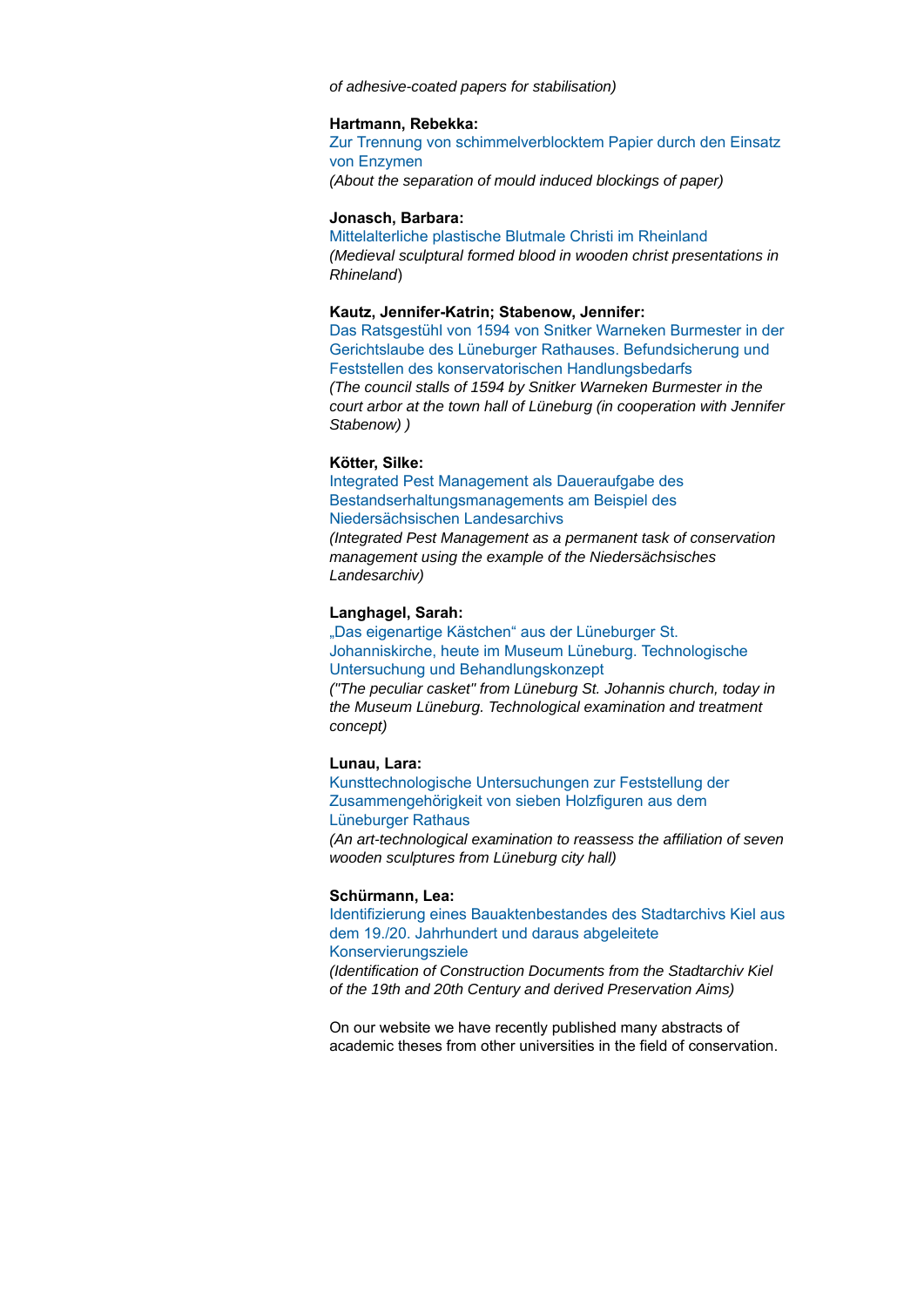*of adhesive-coated papers for stabilisation)*

#### **Hartmann, Rebekka:**

Zur Trennung von schimmelverblocktem Papier durch den Einsatz von Enzymen *(About the separation of mould induced blockings of paper)*

#### **Jonasch, Barbara:**

Mittelalterliche plastische Blutmale Christi im Rheinland *(Medieval sculptural formed blood in wooden christ presentations in Rhineland*)

#### **Kautz, Jennifer-Katrin; Stabenow, Jennifer:**

Das Ratsgestühl von 1594 von Snitker Warneken Burmester in der Gerichtslaube des Lüneburger Rathauses. Befundsicherung und Feststellen des konservatorischen Handlungsbedarfs *(The council stalls of 1594 by Snitker Warneken Burmester in the court arbor at the town hall of Lüneburg (in cooperation with Jennifer Stabenow) )*

#### **Kötter, Silke:**

Integrated Pest Management als Daueraufgabe des Bestandserhaltungsmanagements am Beispiel des Niedersächsischen Landesarchivs

*(Integrated Pest Management as a permanent task of conservation management using the example of the Niedersächsisches Landesarchiv)*

#### **Langhagel, Sarah:**

#### "Das eigenartige Kästchen" aus der Lüneburger St. Johanniskirche, heute im Museum Lüneburg. Technologische Untersuchung und Behandlungskonzept

*("The peculiar casket" from Lüneburg St. Johannis church, today in the Museum Lüneburg. Technological examination and treatment concept)*

#### **Lunau, Lara:**

Kunsttechnologische Untersuchungen zur Feststellung der Zusammengehörigkeit von sieben Holzfiguren aus dem Lüneburger Rathaus

*(An art-technological examination to reassess the affiliation of seven wooden sculptures from Lüneburg city hall)*

#### **Schürmann, Lea:**

Identifizierung eines Bauaktenbestandes des Stadtarchivs Kiel aus dem 19./20. Jahrhundert und daraus abgeleitete

#### Konservierungsziele

*(Identification of Construction Documents from the Stadtarchiv Kiel of the 19th and 20th Century and derived Preservation Aims)*

On our website we have recently published many abstracts of academic theses from other universities in the field of conservation.